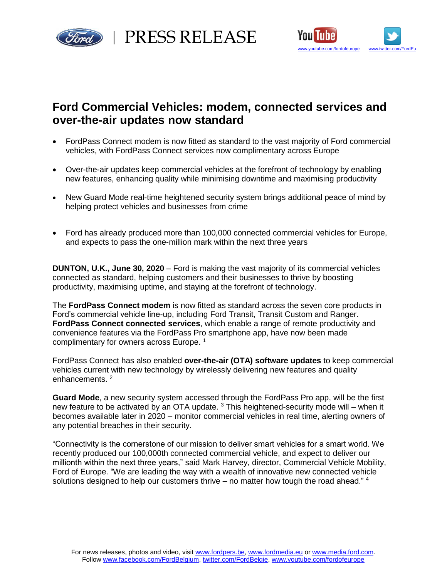

rd | PRESS RELEASE



# **Ford Commercial Vehicles: modem, connected services and over-the-air updates now standard**

- FordPass Connect modem is now fitted as standard to the vast majority of Ford commercial vehicles, with FordPass Connect services now complimentary across Europe
- Over-the-air updates keep commercial vehicles at the forefront of technology by enabling new features, enhancing quality while minimising downtime and maximising productivity
- New Guard Mode real-time heightened security system brings additional peace of mind by helping protect vehicles and businesses from crime
- Ford has already produced more than 100,000 connected commercial vehicles for Europe, and expects to pass the one-million mark within the next three years

**DUNTON, U.K., June 30, 2020** – Ford is making the vast majority of its commercial vehicles connected as standard, helping customers and their businesses to thrive by boosting productivity, maximising uptime, and staying at the forefront of technology.

The **FordPass Connect modem** is now fitted as standard across the seven core products in Ford's commercial vehicle line-up, including Ford Transit, Transit Custom and Ranger. **FordPass Connect connected services**, which enable a range of remote productivity and convenience features via the FordPass Pro smartphone app, have now been made complimentary for owners across Europe. 1

FordPass Connect has also enabled **over-the-air (OTA) software updates** to keep commercial vehicles current with new technology by wirelessly delivering new features and quality enhancements.<sup>2</sup>

**Guard Mode**, a new security system accessed through the FordPass Pro app, will be the first new feature to be activated by an OTA update. <sup>3</sup> This heightened-security mode will – when it becomes available later in 2020 – monitor commercial vehicles in real time, alerting owners of any potential breaches in their security.

"Connectivity is the cornerstone of our mission to deliver smart vehicles for a smart world. We recently produced our 100,000th connected commercial vehicle, and expect to deliver our millionth within the next three years," said Mark Harvey, director, Commercial Vehicle Mobility, Ford of Europe. "We are leading the way with a wealth of innovative new connected vehicle solutions designed to help our customers thrive – no matter how tough the road ahead."  $4$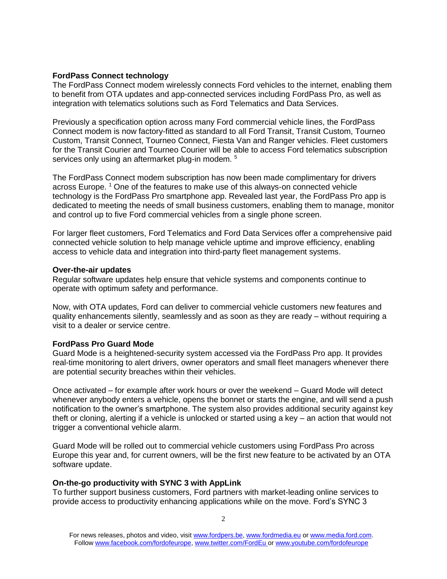## **FordPass Connect technology**

The FordPass Connect modem wirelessly connects Ford vehicles to the internet, enabling them to benefit from OTA updates and app-connected services including FordPass Pro, as well as integration with telematics solutions such as Ford Telematics and Data Services.

Previously a specification option across many Ford commercial vehicle lines, the FordPass Connect modem is now factory-fitted as standard to all Ford Transit, Transit Custom, Tourneo Custom, Transit Connect, Tourneo Connect, Fiesta Van and Ranger vehicles. Fleet customers for the Transit Courier and Tourneo Courier will be able to access Ford telematics subscription services only using an aftermarket plug-in modem. <sup>5</sup>

The FordPass Connect modem subscription has now been made complimentary for drivers across Europe. <sup>1</sup> One of the features to make use of this always-on connected vehicle technology is the FordPass Pro smartphone app. Revealed last year, the FordPass Pro app is dedicated to meeting the needs of small business customers, enabling them to manage, monitor and control up to five Ford commercial vehicles from a single phone screen.

For larger fleet customers, Ford Telematics and Ford Data Services offer a comprehensive paid connected vehicle solution to help manage vehicle uptime and improve efficiency, enabling access to vehicle data and integration into third-party fleet management systems.

#### **Over-the-air updates**

Regular software updates help ensure that vehicle systems and components continue to operate with optimum safety and performance.

Now, with OTA updates, Ford can deliver to commercial vehicle customers new features and quality enhancements silently, seamlessly and as soon as they are ready – without requiring a visit to a dealer or service centre.

# **FordPass Pro Guard Mode**

Guard Mode is a heightened-security system accessed via the FordPass Pro app. It provides real-time monitoring to alert drivers, owner operators and small fleet managers whenever there are potential security breaches within their vehicles.

Once activated – for example after work hours or over the weekend – Guard Mode will detect whenever anybody enters a vehicle, opens the bonnet or starts the engine, and will send a push notification to the owner's smartphone. The system also provides additional security against key theft or cloning, alerting if a vehicle is unlocked or started using a key – an action that would not trigger a conventional vehicle alarm.

Guard Mode will be rolled out to commercial vehicle customers using FordPass Pro across Europe this year and, for current owners, will be the first new feature to be activated by an OTA software update.

# **On-the-go productivity with SYNC 3 with AppLink**

To further support business customers, Ford partners with market-leading online services to provide access to productivity enhancing applications while on the move. Ford's SYNC 3

For news releases, photos and video, visit [www.fordpers.be,](http://www.fordpers.be/) [www.fordmedia.eu](http://www.fordmedia.eu/) or [www.media.ford.com.](http://www.media.ford.com/) Follo[w www.facebook.com/fordofeurope,](http://www.facebook.com/fordofeurope) [www.twitter.com/FordEu](http://www.twitter.com/FordEu) o[r www.youtube.com/fordofeurope](http://www.youtube.com/fordofeurope)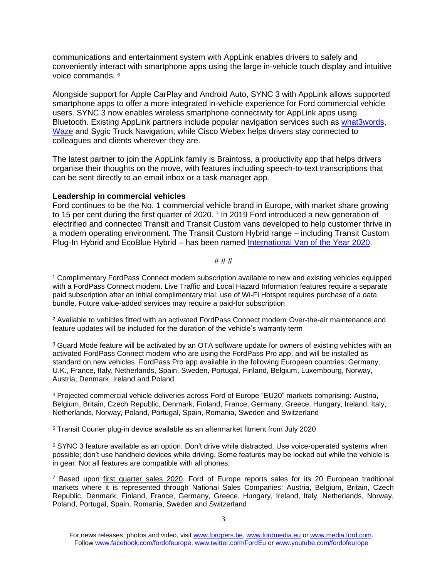communications and entertainment system with AppLink enables drivers to safely and conveniently interact with smartphone apps using the large in-vehicle touch display and intuitive voice commands. <sup>6</sup>

Alongside support for Apple CarPlay and Android Auto, SYNC 3 with AppLink allows supported smartphone apps to offer a more integrated in-vehicle experience for Ford commercial vehicle users. SYNC 3 now enables wireless smartphone connectivity for AppLink apps using Bluetooth. Existing AppLink partners include popular navigation services such as [what3words,](https://media.ford.com/content/fordmedia/feu/en/news/2019/02/26/ford-helps-point-businesses-in-the-right-direction-with-new-conn.html) [Waze](https://media.ford.com/content/fordmedia/feu/en/news/2018/02/26/from-smartphone-to-big-screen--new-app-partners-help-ford-driver.html) and Sygic Truck Navigation, while Cisco Webex helps drivers stay connected to colleagues and clients wherever they are.

The latest partner to join the AppLink family is Braintoss, a productivity app that helps drivers organise their thoughts on the move, with features including speech-to-text transcriptions that can be sent directly to an email inbox or a task manager app.

### **Leadership in commercial vehicles**

Ford continues to be the No. 1 commercial vehicle brand in Europe, with market share growing to 15 per cent during the first quarter of 2020. <sup>7</sup> In 2019 Ford introduced a new generation of electrified and connected Transit and Transit Custom vans developed to help customer thrive in a modern operating environment. The Transit Custom Hybrid range – including Transit Custom Plug-In Hybrid and EcoBlue Hybrid – has been named [International Van of the Year 2020.](https://media.ford.com/content/fordmedia/feu/en/news/2019/11/20/IVOTY-IPUA-2020.html)

# # # #

<sup>1</sup> Complimentary FordPass Connect modem subscription available to new and existing vehicles equipped with a FordPass Connect modem. Live Traffic and [Local Hazard Information](https://media.ford.com/content/fordmedia/feu/en/news/2020/01/13/welcome-to-the-future--connected-car-technology-now-warns-driver.html) features require a separate paid subscription after an initial complimentary trial; use of Wi-Fi Hotspot requires purchase of a data bundle. Future value-added services may require a paid-for subscription

<sup>2</sup> Available to vehicles fitted with an activated FordPass Connect modem. Over-the-air maintenance and feature updates will be included for the duration of the vehicle's warranty term

<sup>3</sup> Guard Mode feature will be activated by an OTA software update for owners of existing vehicles with an activated FordPass Connect modem who are using the FordPass Pro app, and will be installed as standard on new vehicles. FordPass Pro app available in the following European countries: Germany, U.K., France, Italy, Netherlands, Spain, Sweden, Portugal, Finland, Belgium, Luxembourg, Norway, Austria, Denmark, Ireland and Poland

<sup>4</sup> Projected commercial vehicle deliveries across Ford of Europe "EU20" markets comprising: Austria, Belgium, Britain, Czech Republic, Denmark, Finland, France, Germany, Greece, Hungary, Ireland, Italy, Netherlands, Norway, Poland, Portugal, Spain, Romania, Sweden and Switzerland

<sup>5</sup> Transit Courier plug-in device available as an aftermarket fitment from July 2020

<sup>6</sup> SYNC 3 feature available as an option. Don't drive while distracted. Use voice-operated systems when possible; don't use handheld devices while driving. Some features may be locked out while the vehicle is in gear. Not all features are compatible with all phones.

<sup>7</sup> Based upon [first quarter sales 2020.](https://media.ford.com/content/dam/fordmedia/Europe/en/2020/04/FoE-Q1-2020-sales-release.pdf) Ford of Europe reports sales for its 20 European traditional markets where it is represented through National Sales Companies: Austria, Belgium, Britain, Czech Republic, Denmark, Finland, France, Germany, Greece, Hungary, Ireland, Italy, Netherlands, Norway, Poland, Portugal, Spain, Romania, Sweden and Switzerland

For news releases, photos and video, visit [www.fordpers.be,](http://www.fordpers.be/) [www.fordmedia.eu](http://www.fordmedia.eu/) or [www.media.ford.com.](http://www.media.ford.com/) Follo[w www.facebook.com/fordofeurope,](http://www.facebook.com/fordofeurope) [www.twitter.com/FordEu](http://www.twitter.com/FordEu) o[r www.youtube.com/fordofeurope](http://www.youtube.com/fordofeurope)